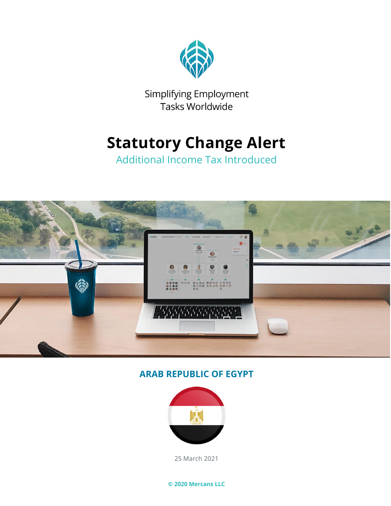

Simplifying Employment Tasks Worldwide

## **Statutory Change Alert**

Additional Income Tax Introduced



#### **ARAB REPUBLIC OF EGYPT**



25 March 2021

**© 2020 Mercans LLC**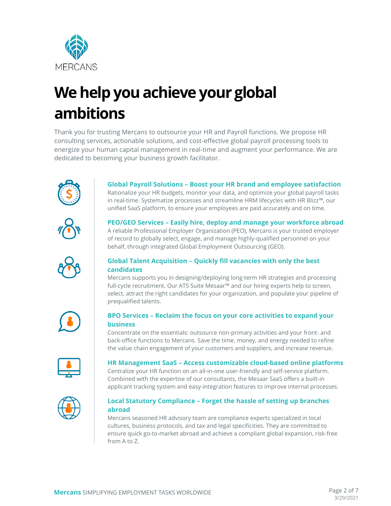

# **We help you achieve your global ambitions**

Thank you for trusting Mercans to outsource your HR and Payroll functions. We propose HR consulting services, actionable solutions, and cost-effective global payroll processing tools to energize your human capital management in real-time and augment your performance. We are dedicated to becoming your business growth facilitator.



**Global Payroll Solutions – Boost your HR brand and employee satisfaction** Rationalize your HR budgets, monitor your data, and optimize your global payroll tasks in real-time. Systematize processes and streamline HRM lifecycles with HR Blizz™, our unified SaaS platform, to ensure your employees are paid accurately and on time.



**PEO/GEO Services – Easily hire, deploy and manage your workforce abroad** A reliable Professional Employer Organization (PEO), Mercans is your trusted employer of record to globally select, engage, and manage highly-qualified personnel on your behalf, through integrated Global Employment Outsourcing (GEO).



#### **Global Talent Acquisition – Quickly fill vacancies with only the best candidates**

Mercans supports you in designing/deploying long-term HR strategies and processing full-cycle recruitment. Our ATS Suite Mesaar™ and our hiring experts help to screen, select, attract the right candidates for your organization, and populate your pipeline of prequalified talents.



#### **BPO Services – Reclaim the focus on your core activities to expand your business**

Concentrate on the essentials: outsource non-primary activities and your front- and back-office functions to Mercans. Save the time, money, and energy needed to refine the value chain engagement of your customers and suppliers, and increase revenue.



#### **HR Management SaaS – Access customizable cloud-based online platforms**

Centralize your HR function on an all-in-one user-friendly and self-service platform. Combined with the expertise of our consultants, the Mesaar SaaS offers a built-in applicant tracking system and easy-integration features to improve internal processes.



#### **Local Statutory Compliance – Forget the hassle of setting up branches abroad**

Mercans seasoned HR advisory team are compliance experts specialized in local cultures, business protocols, and tax and legal specificities. They are committed to ensure quick go-to-market abroad and achieve a compliant global expansion, risk-free from A to Z.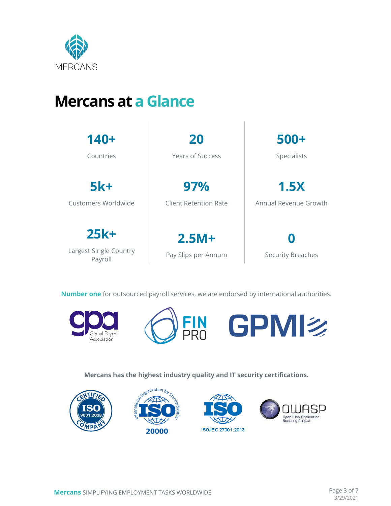

## **Mercans at a Glance**

| $140+$                                      | 20                              | $500+$                   |
|---------------------------------------------|---------------------------------|--------------------------|
| Countries                                   | Years of Success                | Specialists              |
| $5k+$                                       | 97%                             | 1.5X                     |
| Customers Worldwide                         | Client Retention Rate           | Annual Revenue Growth    |
| $25k+$<br>Largest Single Country<br>Payroll | $2.5M +$<br>Pay Slips per Annum | <b>Security Breaches</b> |

**Number one** for outsourced payroll services, we are endorsed by international authorities.





**Mercans has the highest industry quality and IT security certifications.**

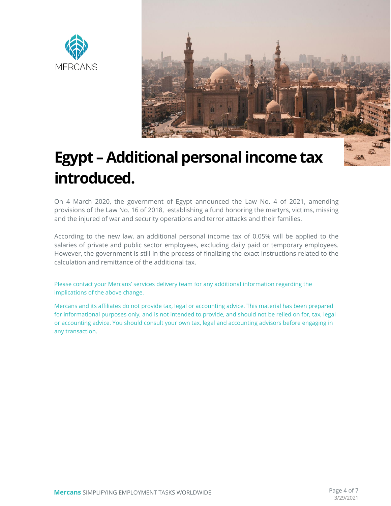



# **Egypt –Additional personal income tax introduced.**

On 4 March 2020, the government of Egypt announced the Law No. 4 of 2021, amending provisions of the Law No. 16 of 2018, establishing a fund honoring the martyrs, victims, missing and the injured of war and security operations and terror attacks and their families.

According to the new law, an additional personal income tax of 0.05% will be applied to the salaries of private and public sector employees, excluding daily paid or temporary employees. However, the government is still in the process of finalizing the exact instructions related to the calculation and remittance of the additional tax.

Please contact your Mercans' services delivery team for any additional information regarding the implications of the above change.

Mercans and its affiliates do not provide tax, legal or accounting advice. This material has been prepared for informational purposes only, and is not intended to provide, and should not be relied on for, tax, legal or accounting advice. You should consult your own tax, legal and accounting advisors before engaging in any transaction.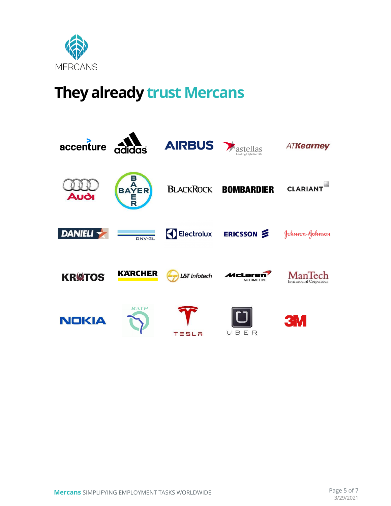

## **They already trust Mercans**

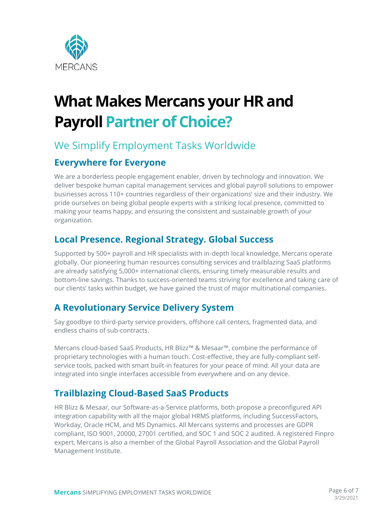

# **What Makes Mercans your HR and Payroll Partner of Choice?**

### We Simplify Employment Tasks Worldwide

#### **Everywhere for Everyone**

We are a borderless people engagement enabler, driven by technology and innovation. We deliver bespoke human capital management services and global payroll solutions to empower businesses across 110+ countries regardless of their organizations' size and their industry. We pride ourselves on being global people experts with a striking local presence, committed to making your teams happy, and ensuring the consistent and sustainable growth of your organization.

### **Local Presence. Regional Strategy. Global Success**

Supported by 500+ payroll and HR specialists with in-depth local knowledge, Mercans operate globally. Our pioneering human resources consulting services and trailblazing SaaS platforms are already satisfying 5,000+ international clients, ensuring timely measurable results and bottom-line savings. Thanks to success-oriented teams striving for excellence and taking care of our clients' tasks within budget, we have gained the trust of major multinational companies.

### **A Revolutionary Service Delivery System**

Say goodbye to third-party service providers, offshore call centers, fragmented data, and endless chains of sub-contracts.

Mercans cloud-based SaaS Products, HR Blizz™ & Mesaar™, combine the performance of proprietary technologies with a human touch. Cost-effective, they are fully-compliant selfservice tools, packed with smart built-in features for your peace of mind. All your data are integrated into single interfaces accessible from everywhere and on any device.

### **Trailblazing Cloud-Based SaaS Products**

HR Blizz & Mesaar, our Software-as-a-Service platforms, both propose a preconfigured API integration capability with all the major global HRMS platforms, including SuccessFactors, Workday, Oracle HCM, and MS Dynamics. All Mercans systems and processes are GDPR compliant, ISO 9001, 20000, 27001 certified, and SOC 1 and SOC 2 audited. A registered Finpro expert, Mercans is also a member of the Global Payroll Association and the Global Payroll Management Institute.